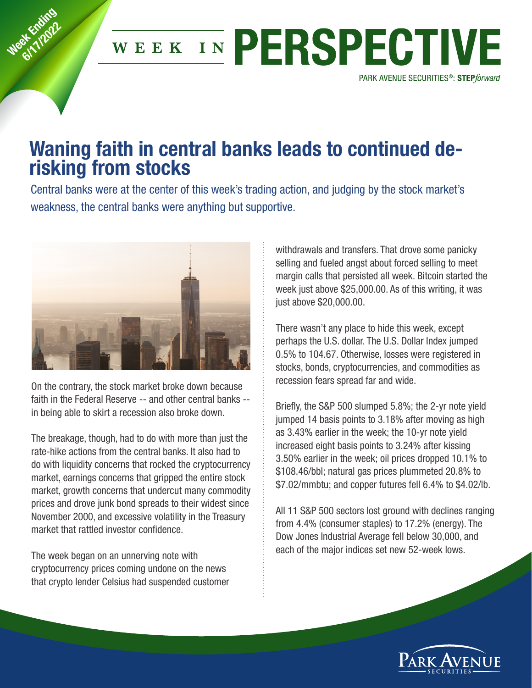## WEEK IN PERSPECTIVE PARK AVENUE SECURITIES<sup>®</sup>: STEPforward

## **Waning faith in central banks leads to continued derisking from stocks**

Central banks were at the center of this week's trading action, and judging by the stock market's weakness, the central banks were anything but supportive.



**Week Ending 6/17/2022** 

> On the contrary, the stock market broke down because faith in the Federal Reserve -- and other central banks - in being able to skirt a recession also broke down.

The breakage, though, had to do with more than just the rate-hike actions from the central banks. It also had to do with liquidity concerns that rocked the cryptocurrency market, earnings concerns that gripped the entire stock market, growth concerns that undercut many commodity prices and drove junk bond spreads to their widest since November 2000, and excessive volatility in the Treasury market that rattled investor confidence.

The week began on an unnerving note with cryptocurrency prices coming undone on the news that crypto lender Celsius had suspended customer

withdrawals and transfers. That drove some panicky selling and fueled angst about forced selling to meet margin calls that persisted all week. Bitcoin started the week just above \$25,000.00. As of this writing, it was just above \$20,000.00.

There wasn't any place to hide this week, except perhaps the U.S. dollar. The U.S. Dollar Index jumped 0.5% to 104.67. Otherwise, losses were registered in stocks, bonds, cryptocurrencies, and commodities as recession fears spread far and wide.

Briefly, the S&P 500 slumped 5.8%; the 2-yr note yield jumped 14 basis points to 3.18% after moving as high as 3.43% earlier in the week; the 10-yr note yield increased eight basis points to 3.24% after kissing 3.50% earlier in the week; oil prices dropped 10.1% to \$108.46/bbl; natural gas prices plummeted 20.8% to \$7.02/mmbtu; and copper futures fell 6.4% to \$4.02/lb.

All 11 S&P 500 sectors lost ground with declines ranging from 4.4% (consumer staples) to 17.2% (energy). The Dow Jones Industrial Average fell below 30,000, and each of the major indices set new 52-week lows.

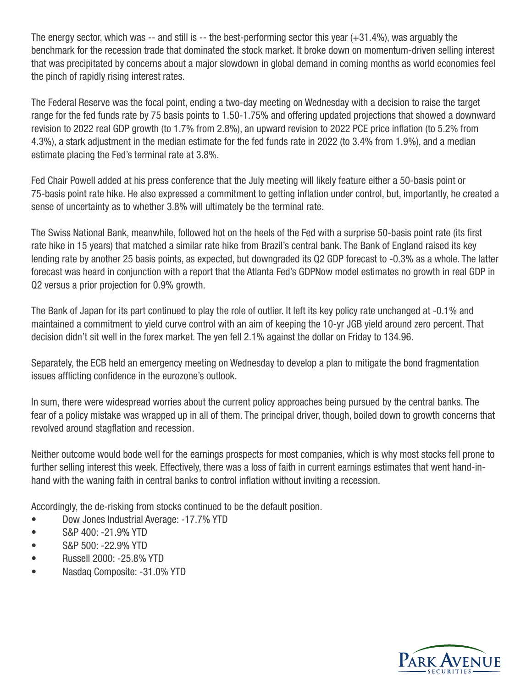The energy sector, which was -- and still is -- the best-performing sector this year (+31.4%), was arguably the benchmark for the recession trade that dominated the stock market. It broke down on momentum-driven selling interest that was precipitated by concerns about a major slowdown in global demand in coming months as world economies feel the pinch of rapidly rising interest rates.

The Federal Reserve was the focal point, ending a two-day meeting on Wednesday with a decision to raise the target range for the fed funds rate by 75 basis points to 1.50-1.75% and offering updated projections that showed a downward revision to 2022 real GDP growth (to 1.7% from 2.8%), an upward revision to 2022 PCE price inflation (to 5.2% from 4.3%), a stark adjustment in the median estimate for the fed funds rate in 2022 (to 3.4% from 1.9%), and a median estimate placing the Fed's terminal rate at 3.8%.

Fed Chair Powell added at his press conference that the July meeting will likely feature either a 50-basis point or 75-basis point rate hike. He also expressed a commitment to getting inflation under control, but, importantly, he created a sense of uncertainty as to whether 3.8% will ultimately be the terminal rate.

The Swiss National Bank, meanwhile, followed hot on the heels of the Fed with a surprise 50-basis point rate (its first rate hike in 15 years) that matched a similar rate hike from Brazil's central bank. The Bank of England raised its key lending rate by another 25 basis points, as expected, but downgraded its Q2 GDP forecast to -0.3% as a whole. The latter forecast was heard in conjunction with a report that the Atlanta Fed's GDPNow model estimates no growth in real GDP in Q2 versus a prior projection for 0.9% growth.

The Bank of Japan for its part continued to play the role of outlier. It left its key policy rate unchanged at -0.1% and maintained a commitment to yield curve control with an aim of keeping the 10-yr JGB yield around zero percent. That decision didn't sit well in the forex market. The yen fell 2.1% against the dollar on Friday to 134.96.

Separately, the ECB held an emergency meeting on Wednesday to develop a plan to mitigate the bond fragmentation issues afflicting confidence in the eurozone's outlook.

In sum, there were widespread worries about the current policy approaches being pursued by the central banks. The fear of a policy mistake was wrapped up in all of them. The principal driver, though, boiled down to growth concerns that revolved around stagflation and recession.

Neither outcome would bode well for the earnings prospects for most companies, which is why most stocks fell prone to further selling interest this week. Effectively, there was a loss of faith in current earnings estimates that went hand-inhand with the waning faith in central banks to control inflation without inviting a recession.

Accordingly, the de-risking from stocks continued to be the default position.

- Dow Jones Industrial Average: -17.7% YTD
- S&P 400: -21.9% YTD
- S&P 500: -22.9% YTD
- Russell 2000: -25.8% YTD
- Nasdaq Composite: -31.0% YTD